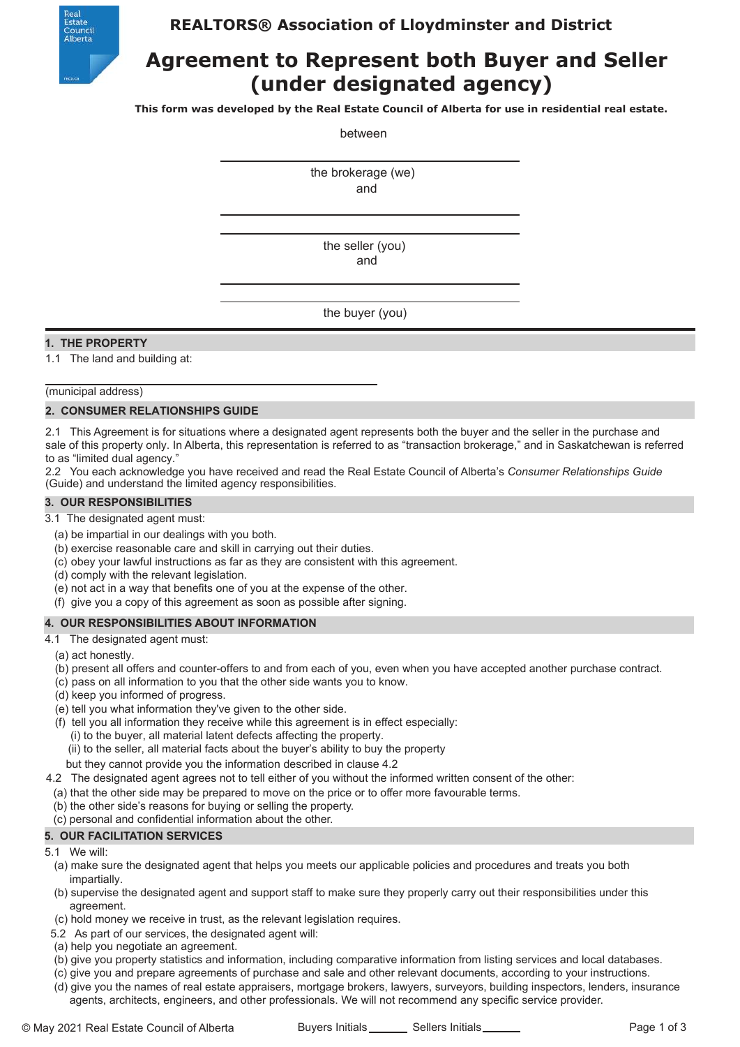

# **REALTORS® Association of Lloydminster and District**

# **Agreement to Represent both Buyer and Seller (under designated agency)**

**This form was developed by the Real Estate Council of Alberta for use in residential real estate.**

between

the brokerage (we) and

> the seller (you) and

the buyer (you)

## **1. THE PROPERTY**

1.1 The land and building at:

(municipal address)

#### **2. CONSUMER RELATIONSHIPS GUIDE**

2.1 This Agreement is for situations where a designated agent represents both the buyer and the seller in the purchase and sale of this property only. In Alberta, this representation is referred to as "transaction brokerage," and in Saskatchewan is referred to as "limited dual agency."

2.2 You each acknowledge you have received and read the Real Estate Council of Alberta's *Consumer Relationships Guide* (Guide) and understand the limited agency responsibilities.

#### **3. OUR RESPONSIBILITIES**

3.1 The designated agent must:

- (a) be impartial in our dealings with you both.
- (b) exercise reasonable care and skill in carrying out their duties.
- (c) obey your lawful instructions as far as they are consistent with this agreement.
- (d) comply with the relevant legislation.
- (e) not act in a way that benefits one of you at the expense of the other.
- (f) give you a copy of this agreement as soon as possible after signing.

#### **4. OUR RESPONSIBILITIES ABOUT INFORMATION**

4.1 The designated agent must:

- (a) act honestly.
- (b) present all offers and counter-offers to and from each of you, even when you have accepted another purchase contract.
- (c) pass on all information to you that the other side wants you to know.
- (d) keep you informed of progress.
- (e) tell you what information they've given to the other side.
- (f) tell you all information they receive while this agreement is in effect especially:
	- (i) to the buyer, all material latent defects affecting the property.
	- (ii) to the seller, all material facts about the buyer's ability to buy the property
	- but they cannot provide you the information described in clause 4.2
- 4.2 The designated agent agrees not to tell either of you without the informed written consent of the other:
	- (a) that the other side may be prepared to move on the price or to offer more favourable terms.
	- (b) the other side's reasons for buying or selling the property.
	- (c) personal and confidential information about the other.

## **5. OUR FACILITATION SERVICES**

- 5.1 We will:
	- (a) make sure the designated agent that helps you meets our applicable policies and procedures and treats you both impartially.
	- (b) supervise the designated agent and support staff to make sure they properly carry out their responsibilities under this agreement.
	- (c) hold money we receive in trust, as the relevant legislation requires.
- 5.2 As part of our services, the designated agent will:
- (a) help you negotiate an agreement.
- (b) give you property statistics and information, including comparative information from listing services and local databases.
- (c) give you and prepare agreements of purchase and sale and other relevant documents, according to your instructions.
- (d) give you the names of real estate appraisers, mortgage brokers, lawyers, surveyors, building inspectors, lenders, insurance agents, architects, engineers, and other professionals. We will not recommend any specific service provider.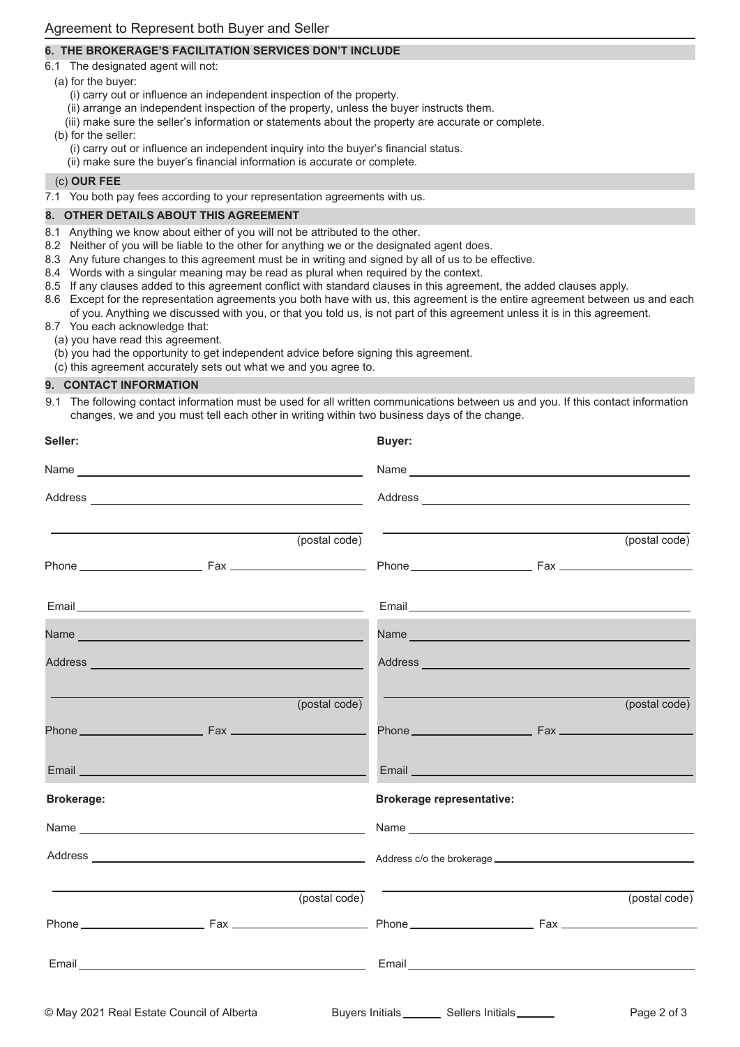## **6. THE BROKERAGE'S FACILITATION SERVICES DON'T INCLUDE**

- 6.1 The designated agent will not:
	- (a) for the buyer:
		- (i) carry out or influence an independent inspection of the property.
		- (ii) arrange an independent inspection of the property, unless the buyer instructs them.
		- (iii) make sure the seller's information or statements about the property are accurate or complete.

(b) for the seller:

- (i) carry out or influence an independent inquiry into the buyer's financial status.
- (ii) make sure the buyer's financial information is accurate or complete.

## (c) **OUR FEE**

7.1 You both pay fees according to your representation agreements with us.

## **8. OTHER DETAILS ABOUT THIS AGREEMENT**

- 8.1 Anything we know about either of you will not be attributed to the other.
- 8.2 Neither of you will be liable to the other for anything we or the designated agent does.
- 8.3 Any future changes to this agreement must be in writing and signed by all of us to be effective.
- 8.4 Words with a singular meaning may be read as plural when required by the context.
- 8.5 If any clauses added to this agreement conflict with standard clauses in this agreement, the added clauses apply.
- 8.6 Except for the representation agreements you both have with us, this agreement is the entire agreement between us and each of you. Anything we discussed with you, or that you told us, is not part of this agreement unless it is in this agreement.
- 8.7 You each acknowledge that:
- (a) you have read this agreement.
	- (b) you had the opportunity to get independent advice before signing this agreement.
	- (c) this agreement accurately sets out what we and you agree to.

### **9. CONTACT INFORMATION**

9.1 The following contact information must be used for all written communications between us and you. If this contact information changes, we and you must tell each other in writing within two business days of the change.

| Seller:           |                                                                                                                         |               | <b>Buyer:</b>                    |                                                                                                                 |               |
|-------------------|-------------------------------------------------------------------------------------------------------------------------|---------------|----------------------------------|-----------------------------------------------------------------------------------------------------------------|---------------|
|                   |                                                                                                                         |               |                                  |                                                                                                                 |               |
|                   |                                                                                                                         |               |                                  |                                                                                                                 |               |
|                   |                                                                                                                         | (postal code) |                                  |                                                                                                                 | (postal code) |
|                   |                                                                                                                         |               |                                  |                                                                                                                 |               |
|                   |                                                                                                                         |               |                                  |                                                                                                                 |               |
|                   |                                                                                                                         |               |                                  |                                                                                                                 |               |
|                   | Address <b>Management Community Community</b> and Community Community Community Community Community Community Community |               |                                  | Address and the contract of the contract of the contract of the contract of the contract of the contract of the |               |
|                   |                                                                                                                         | (postal code) |                                  |                                                                                                                 | (postal code) |
|                   |                                                                                                                         |               |                                  |                                                                                                                 |               |
|                   |                                                                                                                         |               |                                  |                                                                                                                 |               |
| <b>Brokerage:</b> |                                                                                                                         |               | <b>Brokerage representative:</b> |                                                                                                                 |               |
|                   |                                                                                                                         |               |                                  |                                                                                                                 |               |
|                   |                                                                                                                         |               |                                  |                                                                                                                 |               |
|                   |                                                                                                                         | (postal code) |                                  | <u> 1989 - Johann Stein, mars an deus Amerikaansk kommunister (* 1958)</u>                                      | (postal code) |
|                   |                                                                                                                         |               |                                  |                                                                                                                 |               |
|                   |                                                                                                                         |               |                                  |                                                                                                                 |               |
|                   |                                                                                                                         |               |                                  |                                                                                                                 |               |